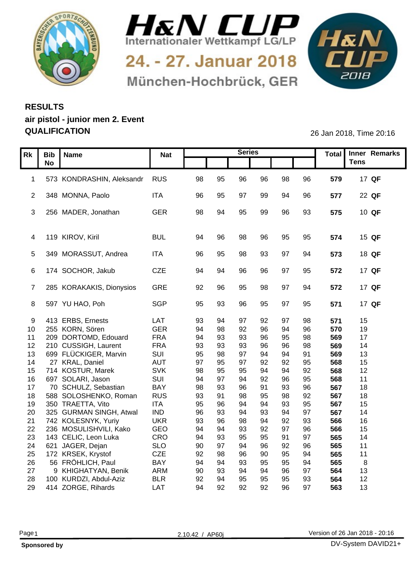



24. - 27. Januar 2018 München-Hochbrück, GER



## **RESULTS air pistol - junior men 2. Event QUALIFICATION** 26 Jan 2018, Time 20:16

|    | Rk   Bib   Name                 | <b>Nat</b> |       |           | <b>Series</b> |           |           | Total   Inner Remarks  |  |
|----|---------------------------------|------------|-------|-----------|---------------|-----------|-----------|------------------------|--|
|    | <b>No</b>                       |            |       |           |               |           |           | <b>Tens</b>            |  |
|    |                                 |            |       |           |               |           |           |                        |  |
|    | 1 573 KONDRASHIN, Aleksandr RUS |            | 98    | 95        | 96            | 96        | 96<br>98  | 579<br>17 QF           |  |
|    |                                 |            |       |           |               |           |           |                        |  |
|    | 2 348 MONNA, Paolo              | <b>ITA</b> | 96 95 |           | 97            | 99        | 94<br>96  | 22 QF<br>577           |  |
|    |                                 |            |       |           |               |           |           |                        |  |
|    | 3 256 MADER, Jonathan           | GER        | 98    | 94        | 95            | 99        | 96<br>93  | 575<br>$10$ QF         |  |
|    |                                 |            |       |           |               |           |           |                        |  |
|    |                                 |            |       |           |               |           |           |                        |  |
|    | 4 119 KIROV, Kiril              | <b>BUL</b> | 94    | 96        | 98            | 96        | 95<br>95  | 15 QF<br>574           |  |
|    | 5 349 MORASSUT, Andrea          | <b>ITA</b> | 96    | 95        | 98            | 93        | 97<br>94  | 18 QF<br>573           |  |
|    |                                 |            |       |           |               |           |           |                        |  |
|    | 6 174 SOCHOR, Jakub             | CZE        | 94    | -94       | 96            | 96        | 97<br>95  | 17 QF<br>572           |  |
|    |                                 |            |       |           |               |           |           |                        |  |
|    | 7 285 KORAKAKIS, Dionysios      | GRE        | 92 96 |           | 95            | 98        | 97<br>94  | 572<br>17 QF           |  |
|    |                                 |            |       |           |               |           |           |                        |  |
|    | 8 597 YU HAO, Poh               | <b>SGP</b> | 95 93 |           | 96            | 95        | 97<br>95  | 571<br>17 QF           |  |
|    |                                 |            |       |           |               |           |           |                        |  |
|    | 9 413 ERBS, Ernests             | LAT        | 93    | -QZ       | 97            |           | 98        | 15<br>571              |  |
|    | 10 255 KORN, Sören              | <b>GER</b> | 94    | 98        | 92            | 96        | 96<br>.94 | 570<br>19              |  |
|    | 11 209 DORTOMD, Edouard         | <b>FRA</b> | 94    | 93        | 93            | 96        | 98<br>95  | 569<br>17              |  |
|    | 12 210 CUSSIGH, Laurent         | <b>FRA</b> | 93    | 93        | 93            | 96        | 98<br>96  | 569<br>14              |  |
|    | 13 699 FLÜCKIGER, Marvin        | SUI        | 95    | 98        | 97            | 94        | 91<br>94  | 569<br>13              |  |
|    | 14 27 KRAL, Daniel              | AUT        | 97    | 95        | 97            | 92        | 95<br>92  | 568<br>15              |  |
|    | 15 714 KOSTUR, Marek            | <b>SVK</b> | 98    | 95        | 95            | $Q\Delta$ | 92<br>94  | 568<br>12 <sup>2</sup> |  |
|    | 16 697 SOLARI, Jason            | SUI        | 94    | <b>Q7</b> | 94            | 92        | 95<br>96  | 568<br>11              |  |
|    | 17 70 SCHULZ, Sebastian         | <b>BAY</b> | 98    | 93        |               |           | 96<br>93  | 567<br>18              |  |
|    | 18 588 SOLOSHENKO, Roman        | <b>RUS</b> | 93    | -91       | 98            | 95        | 92<br>98  | 567<br>18              |  |
|    | 19 350 TRAETTA, Vito            | <b>ITA</b> | 95    | 96        | 94            | 94        | 95<br>93  | 567<br>15              |  |
|    | 20 325 GURMAN SINGH, Atwal      | <b>IND</b> | 96    | 93        | 94            | 93        | 97<br>94  | 567<br>14              |  |
|    | 21 742 KOLESNYK, Yuriy          | <b>UKR</b> | 93    | 96        |               | $Q\Delta$ | 92<br>93  | 566<br>16              |  |
|    | 22 236 MOSULISHVILI, Kako       | GEO        | 94    | 94        | 93            | 92        | 96<br>97  | 566<br>15              |  |
|    | 23 143 CELIC, Leon Luka         | CRO        | 94    | 93        | 95            | 95        | 97<br>91  | 565<br>14              |  |
|    | 24 621 JAGER, Dejan             | <b>SLO</b> | 90    | 97        | 94            | 96        | 96<br>92  | 565<br>11              |  |
|    | 25 172 KRSEK, Krystof           | CZE        | 92    | 98        | 96            | 90        | 95<br>94  | 565<br>11              |  |
|    | 26 56 FRÖHLICH, Paul            | <b>BAY</b> | 94    | 94        | 93            | 95        | 94<br>95  | 565                    |  |
| 27 | 9 KHIGHATYAN, Benik             | <b>ARM</b> | 90    | 93        | 94            | $\Omega$  | 97        | 564<br>13              |  |
|    | 28 100 KURDZI, Abdul-Aziz       | <b>BLR</b> | 92    | 94        | 95            | 95        | 93<br>95  | 564<br>12              |  |
|    | 29 414 ZORGE, Rihards           | <b>LAT</b> | 94    | 92        | 92            | 92        | 97<br>96  | 563<br>13              |  |

| ٧ |
|---|
|---|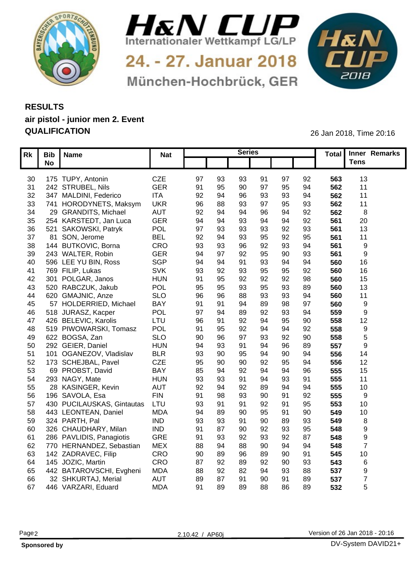



24. - 27. Januar 2018 München-Hochbrück, GER



## **RESULTS air pistol - junior men 2. Event QUALIFICATION** 26 Jan 2018, Time 20:16

| $\overline{\mathsf{Rk}}$ Bib Name<br>Total Inner Remarks<br><b>Nat</b><br><b>Tens</b><br><b>No</b><br>175 TUPY, Antonin<br>CZE<br>97<br>92<br>30<br>97<br>93<br>563<br>13<br>93<br>91<br><b>GER</b><br>94<br>91<br>95<br>97<br>95<br>11<br>242 STRUBEL, Nils<br>90<br>562<br>31<br><b>ITA</b><br>347 MALDINI, Federico<br>92<br>94<br>96<br>93<br>93<br>562<br>11<br>32<br><b>UKR</b><br>93<br>741 HORODYNETS, Maksym<br>96<br>97<br>95<br>93<br>562<br>33<br>11<br>92<br><b>AUT</b><br>92<br>96<br>29 GRANDITS, Michael<br>562<br>34<br>94<br><b>GER</b><br>94<br>92<br>254 KARSTEDT, Jan Luca<br>20<br>35<br>-94<br>93<br>94<br>561<br><b>POL</b><br>97<br>521 SAKOWSKI, Patryk<br>93<br>36<br>93<br>92<br>561<br>13<br>93<br><b>BEL</b><br>95<br>81 SON, Jerome<br>92<br>95<br>92<br>37<br>93<br>561<br>11<br>CRO<br>94<br>144 BUTKOVIC, Borna<br>93<br>92<br>93<br>561<br>38<br>-93<br>96<br>- Q<br><b>GER</b><br>243 WALTER, Robin<br>94<br>95<br>90<br>93<br>561<br>- Q7<br>92<br>39<br>- Q<br>SGP<br>94<br>94<br>560<br>16<br>596 LEE YU BIN, Ross<br>91<br>93<br>94<br>-94<br>40<br><b>SVK</b><br>93<br>769 FILIP, Lukas<br>95<br>92<br>560<br>16<br>92<br>95<br>93<br>-41<br><b>HUN</b><br>91<br>92<br>98<br>301 POLGAR, Janos<br>95<br>92<br>92<br>560<br>15<br>42<br><b>POL</b><br>89<br>520 RABCZUK, Jakub<br>95<br>95<br>93<br>95<br>93<br>560<br>13<br>43<br><b>SLO</b><br>620 GMAJNIC, Anze<br>94<br>96<br>96<br>88<br>93<br>93<br>560<br>11<br>44<br>BAY<br>57 HOLDERRIED, Michael<br>97<br>91<br>89<br>98<br>94<br>560<br>45<br>-91<br><b>POL</b><br>46 518 JURASZ, Kacper<br>97<br>92<br>93<br>94<br>89<br>559<br>LTU<br>426 BELEVIC, Karolis<br>96<br>90<br>92<br>$Q_{\ell}$<br>12<br>47<br>۹۷<br>558<br>POL<br>519 PIWOWARSKI, Tomasz<br>92<br>91<br>558<br>95<br>92<br>94<br>48<br>__<br><b>SLO</b><br>49 622 BOGSA, Zan<br>92<br>90<br>558<br>90<br>96<br>97<br>93<br><b>HUN</b><br>89<br>94<br>96<br>557<br>50 292 GEIER, Daniel<br>-93<br>91<br>94<br>$\alpha$<br><b>BLR</b><br>93<br>94<br>556<br>51 101 OGANEZOV, Vladislav<br>90<br>90<br>14<br>95<br>94<br>CZE<br>173 SCHEJBAL, Pavel<br>95<br>12<br>90<br>92<br>95<br>94<br>556<br>52<br>90<br><b>BAY</b><br>96<br>69 PROBST, David<br>85<br>$Q_4$<br>555<br>15<br>92<br>94<br>53<br>-94<br>555<br>54 293 NAGY, Mate<br><b>HUN</b><br>93<br>91<br>93<br>91<br>94<br>11<br>-93<br>28 KASINGER, Kevin<br><b>AUT</b><br>94<br>10 <sup>1</sup><br>92<br>89<br>94<br>555<br>55<br>-94<br>92<br><b>FIN</b><br>92<br>555<br>56 196 SAVOLA, Esa<br>91<br>98<br>90<br>91<br>93<br>- Q<br>LTU<br>430 PUCILAUSKAS, Gintautas<br>93<br>95<br>553<br>10 <sup>°</sup><br>57<br>92<br>-91<br><b>MDA</b><br>94<br>95<br>90<br>10 <sub>1</sub><br>58<br>443 LEONTEAN, Daniel<br>90<br>549<br>89 |
|-------------------------------------------------------------------------------------------------------------------------------------------------------------------------------------------------------------------------------------------------------------------------------------------------------------------------------------------------------------------------------------------------------------------------------------------------------------------------------------------------------------------------------------------------------------------------------------------------------------------------------------------------------------------------------------------------------------------------------------------------------------------------------------------------------------------------------------------------------------------------------------------------------------------------------------------------------------------------------------------------------------------------------------------------------------------------------------------------------------------------------------------------------------------------------------------------------------------------------------------------------------------------------------------------------------------------------------------------------------------------------------------------------------------------------------------------------------------------------------------------------------------------------------------------------------------------------------------------------------------------------------------------------------------------------------------------------------------------------------------------------------------------------------------------------------------------------------------------------------------------------------------------------------------------------------------------------------------------------------------------------------------------------------------------------------------------------------------------------------------------------------------------------------------------------------------------------------------------------------------------------------------------------------------------------------------------------------------------------------------------------------------------------------------------------------------------------------------------------------------------------------------------------------------------------------------------------------------------------------------------------------------------------------------------------------------------------------------------------------------------------------|
|                                                                                                                                                                                                                                                                                                                                                                                                                                                                                                                                                                                                                                                                                                                                                                                                                                                                                                                                                                                                                                                                                                                                                                                                                                                                                                                                                                                                                                                                                                                                                                                                                                                                                                                                                                                                                                                                                                                                                                                                                                                                                                                                                                                                                                                                                                                                                                                                                                                                                                                                                                                                                                                                                                                                                             |
|                                                                                                                                                                                                                                                                                                                                                                                                                                                                                                                                                                                                                                                                                                                                                                                                                                                                                                                                                                                                                                                                                                                                                                                                                                                                                                                                                                                                                                                                                                                                                                                                                                                                                                                                                                                                                                                                                                                                                                                                                                                                                                                                                                                                                                                                                                                                                                                                                                                                                                                                                                                                                                                                                                                                                             |
|                                                                                                                                                                                                                                                                                                                                                                                                                                                                                                                                                                                                                                                                                                                                                                                                                                                                                                                                                                                                                                                                                                                                                                                                                                                                                                                                                                                                                                                                                                                                                                                                                                                                                                                                                                                                                                                                                                                                                                                                                                                                                                                                                                                                                                                                                                                                                                                                                                                                                                                                                                                                                                                                                                                                                             |
|                                                                                                                                                                                                                                                                                                                                                                                                                                                                                                                                                                                                                                                                                                                                                                                                                                                                                                                                                                                                                                                                                                                                                                                                                                                                                                                                                                                                                                                                                                                                                                                                                                                                                                                                                                                                                                                                                                                                                                                                                                                                                                                                                                                                                                                                                                                                                                                                                                                                                                                                                                                                                                                                                                                                                             |
|                                                                                                                                                                                                                                                                                                                                                                                                                                                                                                                                                                                                                                                                                                                                                                                                                                                                                                                                                                                                                                                                                                                                                                                                                                                                                                                                                                                                                                                                                                                                                                                                                                                                                                                                                                                                                                                                                                                                                                                                                                                                                                                                                                                                                                                                                                                                                                                                                                                                                                                                                                                                                                                                                                                                                             |
|                                                                                                                                                                                                                                                                                                                                                                                                                                                                                                                                                                                                                                                                                                                                                                                                                                                                                                                                                                                                                                                                                                                                                                                                                                                                                                                                                                                                                                                                                                                                                                                                                                                                                                                                                                                                                                                                                                                                                                                                                                                                                                                                                                                                                                                                                                                                                                                                                                                                                                                                                                                                                                                                                                                                                             |
|                                                                                                                                                                                                                                                                                                                                                                                                                                                                                                                                                                                                                                                                                                                                                                                                                                                                                                                                                                                                                                                                                                                                                                                                                                                                                                                                                                                                                                                                                                                                                                                                                                                                                                                                                                                                                                                                                                                                                                                                                                                                                                                                                                                                                                                                                                                                                                                                                                                                                                                                                                                                                                                                                                                                                             |
|                                                                                                                                                                                                                                                                                                                                                                                                                                                                                                                                                                                                                                                                                                                                                                                                                                                                                                                                                                                                                                                                                                                                                                                                                                                                                                                                                                                                                                                                                                                                                                                                                                                                                                                                                                                                                                                                                                                                                                                                                                                                                                                                                                                                                                                                                                                                                                                                                                                                                                                                                                                                                                                                                                                                                             |
|                                                                                                                                                                                                                                                                                                                                                                                                                                                                                                                                                                                                                                                                                                                                                                                                                                                                                                                                                                                                                                                                                                                                                                                                                                                                                                                                                                                                                                                                                                                                                                                                                                                                                                                                                                                                                                                                                                                                                                                                                                                                                                                                                                                                                                                                                                                                                                                                                                                                                                                                                                                                                                                                                                                                                             |
|                                                                                                                                                                                                                                                                                                                                                                                                                                                                                                                                                                                                                                                                                                                                                                                                                                                                                                                                                                                                                                                                                                                                                                                                                                                                                                                                                                                                                                                                                                                                                                                                                                                                                                                                                                                                                                                                                                                                                                                                                                                                                                                                                                                                                                                                                                                                                                                                                                                                                                                                                                                                                                                                                                                                                             |
|                                                                                                                                                                                                                                                                                                                                                                                                                                                                                                                                                                                                                                                                                                                                                                                                                                                                                                                                                                                                                                                                                                                                                                                                                                                                                                                                                                                                                                                                                                                                                                                                                                                                                                                                                                                                                                                                                                                                                                                                                                                                                                                                                                                                                                                                                                                                                                                                                                                                                                                                                                                                                                                                                                                                                             |
|                                                                                                                                                                                                                                                                                                                                                                                                                                                                                                                                                                                                                                                                                                                                                                                                                                                                                                                                                                                                                                                                                                                                                                                                                                                                                                                                                                                                                                                                                                                                                                                                                                                                                                                                                                                                                                                                                                                                                                                                                                                                                                                                                                                                                                                                                                                                                                                                                                                                                                                                                                                                                                                                                                                                                             |
|                                                                                                                                                                                                                                                                                                                                                                                                                                                                                                                                                                                                                                                                                                                                                                                                                                                                                                                                                                                                                                                                                                                                                                                                                                                                                                                                                                                                                                                                                                                                                                                                                                                                                                                                                                                                                                                                                                                                                                                                                                                                                                                                                                                                                                                                                                                                                                                                                                                                                                                                                                                                                                                                                                                                                             |
|                                                                                                                                                                                                                                                                                                                                                                                                                                                                                                                                                                                                                                                                                                                                                                                                                                                                                                                                                                                                                                                                                                                                                                                                                                                                                                                                                                                                                                                                                                                                                                                                                                                                                                                                                                                                                                                                                                                                                                                                                                                                                                                                                                                                                                                                                                                                                                                                                                                                                                                                                                                                                                                                                                                                                             |
|                                                                                                                                                                                                                                                                                                                                                                                                                                                                                                                                                                                                                                                                                                                                                                                                                                                                                                                                                                                                                                                                                                                                                                                                                                                                                                                                                                                                                                                                                                                                                                                                                                                                                                                                                                                                                                                                                                                                                                                                                                                                                                                                                                                                                                                                                                                                                                                                                                                                                                                                                                                                                                                                                                                                                             |
|                                                                                                                                                                                                                                                                                                                                                                                                                                                                                                                                                                                                                                                                                                                                                                                                                                                                                                                                                                                                                                                                                                                                                                                                                                                                                                                                                                                                                                                                                                                                                                                                                                                                                                                                                                                                                                                                                                                                                                                                                                                                                                                                                                                                                                                                                                                                                                                                                                                                                                                                                                                                                                                                                                                                                             |
|                                                                                                                                                                                                                                                                                                                                                                                                                                                                                                                                                                                                                                                                                                                                                                                                                                                                                                                                                                                                                                                                                                                                                                                                                                                                                                                                                                                                                                                                                                                                                                                                                                                                                                                                                                                                                                                                                                                                                                                                                                                                                                                                                                                                                                                                                                                                                                                                                                                                                                                                                                                                                                                                                                                                                             |
|                                                                                                                                                                                                                                                                                                                                                                                                                                                                                                                                                                                                                                                                                                                                                                                                                                                                                                                                                                                                                                                                                                                                                                                                                                                                                                                                                                                                                                                                                                                                                                                                                                                                                                                                                                                                                                                                                                                                                                                                                                                                                                                                                                                                                                                                                                                                                                                                                                                                                                                                                                                                                                                                                                                                                             |
|                                                                                                                                                                                                                                                                                                                                                                                                                                                                                                                                                                                                                                                                                                                                                                                                                                                                                                                                                                                                                                                                                                                                                                                                                                                                                                                                                                                                                                                                                                                                                                                                                                                                                                                                                                                                                                                                                                                                                                                                                                                                                                                                                                                                                                                                                                                                                                                                                                                                                                                                                                                                                                                                                                                                                             |
|                                                                                                                                                                                                                                                                                                                                                                                                                                                                                                                                                                                                                                                                                                                                                                                                                                                                                                                                                                                                                                                                                                                                                                                                                                                                                                                                                                                                                                                                                                                                                                                                                                                                                                                                                                                                                                                                                                                                                                                                                                                                                                                                                                                                                                                                                                                                                                                                                                                                                                                                                                                                                                                                                                                                                             |
|                                                                                                                                                                                                                                                                                                                                                                                                                                                                                                                                                                                                                                                                                                                                                                                                                                                                                                                                                                                                                                                                                                                                                                                                                                                                                                                                                                                                                                                                                                                                                                                                                                                                                                                                                                                                                                                                                                                                                                                                                                                                                                                                                                                                                                                                                                                                                                                                                                                                                                                                                                                                                                                                                                                                                             |
|                                                                                                                                                                                                                                                                                                                                                                                                                                                                                                                                                                                                                                                                                                                                                                                                                                                                                                                                                                                                                                                                                                                                                                                                                                                                                                                                                                                                                                                                                                                                                                                                                                                                                                                                                                                                                                                                                                                                                                                                                                                                                                                                                                                                                                                                                                                                                                                                                                                                                                                                                                                                                                                                                                                                                             |
|                                                                                                                                                                                                                                                                                                                                                                                                                                                                                                                                                                                                                                                                                                                                                                                                                                                                                                                                                                                                                                                                                                                                                                                                                                                                                                                                                                                                                                                                                                                                                                                                                                                                                                                                                                                                                                                                                                                                                                                                                                                                                                                                                                                                                                                                                                                                                                                                                                                                                                                                                                                                                                                                                                                                                             |
|                                                                                                                                                                                                                                                                                                                                                                                                                                                                                                                                                                                                                                                                                                                                                                                                                                                                                                                                                                                                                                                                                                                                                                                                                                                                                                                                                                                                                                                                                                                                                                                                                                                                                                                                                                                                                                                                                                                                                                                                                                                                                                                                                                                                                                                                                                                                                                                                                                                                                                                                                                                                                                                                                                                                                             |
|                                                                                                                                                                                                                                                                                                                                                                                                                                                                                                                                                                                                                                                                                                                                                                                                                                                                                                                                                                                                                                                                                                                                                                                                                                                                                                                                                                                                                                                                                                                                                                                                                                                                                                                                                                                                                                                                                                                                                                                                                                                                                                                                                                                                                                                                                                                                                                                                                                                                                                                                                                                                                                                                                                                                                             |
|                                                                                                                                                                                                                                                                                                                                                                                                                                                                                                                                                                                                                                                                                                                                                                                                                                                                                                                                                                                                                                                                                                                                                                                                                                                                                                                                                                                                                                                                                                                                                                                                                                                                                                                                                                                                                                                                                                                                                                                                                                                                                                                                                                                                                                                                                                                                                                                                                                                                                                                                                                                                                                                                                                                                                             |
|                                                                                                                                                                                                                                                                                                                                                                                                                                                                                                                                                                                                                                                                                                                                                                                                                                                                                                                                                                                                                                                                                                                                                                                                                                                                                                                                                                                                                                                                                                                                                                                                                                                                                                                                                                                                                                                                                                                                                                                                                                                                                                                                                                                                                                                                                                                                                                                                                                                                                                                                                                                                                                                                                                                                                             |
|                                                                                                                                                                                                                                                                                                                                                                                                                                                                                                                                                                                                                                                                                                                                                                                                                                                                                                                                                                                                                                                                                                                                                                                                                                                                                                                                                                                                                                                                                                                                                                                                                                                                                                                                                                                                                                                                                                                                                                                                                                                                                                                                                                                                                                                                                                                                                                                                                                                                                                                                                                                                                                                                                                                                                             |
|                                                                                                                                                                                                                                                                                                                                                                                                                                                                                                                                                                                                                                                                                                                                                                                                                                                                                                                                                                                                                                                                                                                                                                                                                                                                                                                                                                                                                                                                                                                                                                                                                                                                                                                                                                                                                                                                                                                                                                                                                                                                                                                                                                                                                                                                                                                                                                                                                                                                                                                                                                                                                                                                                                                                                             |
|                                                                                                                                                                                                                                                                                                                                                                                                                                                                                                                                                                                                                                                                                                                                                                                                                                                                                                                                                                                                                                                                                                                                                                                                                                                                                                                                                                                                                                                                                                                                                                                                                                                                                                                                                                                                                                                                                                                                                                                                                                                                                                                                                                                                                                                                                                                                                                                                                                                                                                                                                                                                                                                                                                                                                             |
|                                                                                                                                                                                                                                                                                                                                                                                                                                                                                                                                                                                                                                                                                                                                                                                                                                                                                                                                                                                                                                                                                                                                                                                                                                                                                                                                                                                                                                                                                                                                                                                                                                                                                                                                                                                                                                                                                                                                                                                                                                                                                                                                                                                                                                                                                                                                                                                                                                                                                                                                                                                                                                                                                                                                                             |
| 59 324 PARTH, Pal<br><b>IND</b><br>89<br>93<br>.93<br>-93<br>90<br>549                                                                                                                                                                                                                                                                                                                                                                                                                                                                                                                                                                                                                                                                                                                                                                                                                                                                                                                                                                                                                                                                                                                                                                                                                                                                                                                                                                                                                                                                                                                                                                                                                                                                                                                                                                                                                                                                                                                                                                                                                                                                                                                                                                                                                                                                                                                                                                                                                                                                                                                                                                                                                                                                                      |
| <b>IND</b><br>95<br>326 CHAUDHARY, Milan<br>92<br>.91<br>93<br>548<br>60<br>90<br>- Q                                                                                                                                                                                                                                                                                                                                                                                                                                                                                                                                                                                                                                                                                                                                                                                                                                                                                                                                                                                                                                                                                                                                                                                                                                                                                                                                                                                                                                                                                                                                                                                                                                                                                                                                                                                                                                                                                                                                                                                                                                                                                                                                                                                                                                                                                                                                                                                                                                                                                                                                                                                                                                                                       |
| GRE<br>61 286 PAVLIDIS, Panagiotis<br>91<br>93<br>92<br>87<br>548<br>93<br>92<br>- Q                                                                                                                                                                                                                                                                                                                                                                                                                                                                                                                                                                                                                                                                                                                                                                                                                                                                                                                                                                                                                                                                                                                                                                                                                                                                                                                                                                                                                                                                                                                                                                                                                                                                                                                                                                                                                                                                                                                                                                                                                                                                                                                                                                                                                                                                                                                                                                                                                                                                                                                                                                                                                                                                        |
| <b>MEX</b><br>62 770 HERNANDEZ, Sebastian<br>88<br>94<br>548<br>88<br>90<br>94<br>- Q                                                                                                                                                                                                                                                                                                                                                                                                                                                                                                                                                                                                                                                                                                                                                                                                                                                                                                                                                                                                                                                                                                                                                                                                                                                                                                                                                                                                                                                                                                                                                                                                                                                                                                                                                                                                                                                                                                                                                                                                                                                                                                                                                                                                                                                                                                                                                                                                                                                                                                                                                                                                                                                                       |
| CRO<br>142 ZADRAVEC, Filip<br>10 <sup>°</sup><br>90<br>89<br>91<br>545<br>63<br>89<br>96<br>90                                                                                                                                                                                                                                                                                                                                                                                                                                                                                                                                                                                                                                                                                                                                                                                                                                                                                                                                                                                                                                                                                                                                                                                                                                                                                                                                                                                                                                                                                                                                                                                                                                                                                                                                                                                                                                                                                                                                                                                                                                                                                                                                                                                                                                                                                                                                                                                                                                                                                                                                                                                                                                                              |
| CRO<br>64 145 JOZIC, Martin<br>87<br>92<br>90<br>93<br>543<br>92<br>89                                                                                                                                                                                                                                                                                                                                                                                                                                                                                                                                                                                                                                                                                                                                                                                                                                                                                                                                                                                                                                                                                                                                                                                                                                                                                                                                                                                                                                                                                                                                                                                                                                                                                                                                                                                                                                                                                                                                                                                                                                                                                                                                                                                                                                                                                                                                                                                                                                                                                                                                                                                                                                                                                      |
| <b>MDA</b><br>65 442 BATAROVSCHI, Evgheni<br>88<br>88<br>93<br>537<br>-92<br>۵Z<br>$\alpha$                                                                                                                                                                                                                                                                                                                                                                                                                                                                                                                                                                                                                                                                                                                                                                                                                                                                                                                                                                                                                                                                                                                                                                                                                                                                                                                                                                                                                                                                                                                                                                                                                                                                                                                                                                                                                                                                                                                                                                                                                                                                                                                                                                                                                                                                                                                                                                                                                                                                                                                                                                                                                                                                 |
| <b>AUT</b><br>89<br>32 SHKURTAJ, Merial<br>89<br>537<br>66<br>90<br>.91<br>91                                                                                                                                                                                                                                                                                                                                                                                                                                                                                                                                                                                                                                                                                                                                                                                                                                                                                                                                                                                                                                                                                                                                                                                                                                                                                                                                                                                                                                                                                                                                                                                                                                                                                                                                                                                                                                                                                                                                                                                                                                                                                                                                                                                                                                                                                                                                                                                                                                                                                                                                                                                                                                                                               |
| <b>MDA</b><br>89<br>67 446 VARZARI, Eduard<br>91<br>89<br>88<br>86<br>532<br>89                                                                                                                                                                                                                                                                                                                                                                                                                                                                                                                                                                                                                                                                                                                                                                                                                                                                                                                                                                                                                                                                                                                                                                                                                                                                                                                                                                                                                                                                                                                                                                                                                                                                                                                                                                                                                                                                                                                                                                                                                                                                                                                                                                                                                                                                                                                                                                                                                                                                                                                                                                                                                                                                             |

|--|